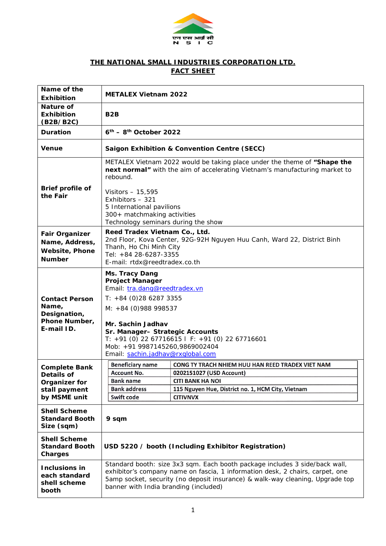

## **THE NATIONAL SMALL INDUSTRIES CORPORATION LTD. FACT SHEET**

| Name of the<br><b>Exhibition</b>                                                                                                            | <b>METALEX Vietnam 2022</b>                                                                                                                                                                                                                                                                                  |                                                                                                                                                                                 |  |
|---------------------------------------------------------------------------------------------------------------------------------------------|--------------------------------------------------------------------------------------------------------------------------------------------------------------------------------------------------------------------------------------------------------------------------------------------------------------|---------------------------------------------------------------------------------------------------------------------------------------------------------------------------------|--|
| <b>Nature of</b><br><b>Exhibition</b><br>(B2B/B2C)                                                                                          | B <sub>2</sub> B                                                                                                                                                                                                                                                                                             |                                                                                                                                                                                 |  |
| <b>Duration</b>                                                                                                                             | $6th$ – 8 <sup>th</sup> October 2022                                                                                                                                                                                                                                                                         |                                                                                                                                                                                 |  |
| <b>Venue</b>                                                                                                                                | <b>Saigon Exhibition &amp; Convention Centre (SECC)</b>                                                                                                                                                                                                                                                      |                                                                                                                                                                                 |  |
| Brief profile of<br>the Fair                                                                                                                | METALEX Vietnam 2022 would be taking place under the theme of "Shape the<br>next normal" with the aim of accelerating Vietnam's manufacturing market to<br>rebound.<br>Visitors - 15,595                                                                                                                     |                                                                                                                                                                                 |  |
|                                                                                                                                             | Exhibitors - 321<br>5 International pavilions<br>300+ matchmaking activities<br>Technology seminars during the show                                                                                                                                                                                          |                                                                                                                                                                                 |  |
| <b>Fair Organizer</b><br>Name, Address,<br><b>Website, Phone</b><br><b>Number</b>                                                           | Reed Tradex Vietnam Co., Ltd.<br>2nd Floor, Kova Center, 92G-92H Nguyen Huu Canh, Ward 22, District Binh<br>Thanh, Ho Chi Minh City<br>Tel: +84 28-6287-3355<br>E-mail: rtdx@reedtradex.co.th                                                                                                                |                                                                                                                                                                                 |  |
| <b>Contact Person</b><br>Name,<br>Designation,<br>Phone Number,<br>E-mail ID.                                                               | Ms. Tracy Dang<br><b>Project Manager</b><br>Email: tra.dang@reedtradex.vn<br>$T: +84(0)2862873355$<br>$M: +84(0)988998537$<br>Mr. Sachin Jadhav<br>Sr. Manager- Strategic Accounts<br>T: +91 (0) 22 67716615   F: +91 (0) 22 67716601<br>Mob: +91 9987145260,9869002404<br>Email: sachin.jadhav@rxqlobal.com |                                                                                                                                                                                 |  |
| <b>Complete Bank</b><br>Details of<br><b>Organizer for</b><br>stall payment<br>by MSME unit<br><b>Shell Scheme</b><br><b>Standard Booth</b> | <b>Beneficiary name</b><br>Account No.<br><b>Bank name</b><br><b>Bank address</b><br>Swift code<br>9 sqm                                                                                                                                                                                                     | CONG TY TRACH NHIEM HUU HAN REED TRADEX VIET NAM<br>0202151027 (USD Account)<br><b>CITI BANK HA NOI</b><br>115 Nguyen Hue, District no. 1, HCM City, Vietnam<br><b>CITIVNVX</b> |  |
| Size (sqm)<br><b>Shell Scheme</b><br><b>Standard Booth</b><br>Charges                                                                       | USD 5220 / booth (Including Exhibitor Registration)                                                                                                                                                                                                                                                          |                                                                                                                                                                                 |  |
| Inclusions in<br>each standard<br>shell scheme<br>booth                                                                                     | Standard booth: size 3x3 sqm. Each booth package includes 3 side/back wall,<br>exhibitor's company name on fascia, 1 information desk, 2 chairs, carpet, one<br>5amp socket, security (no deposit insurance) & walk-way cleaning, Upgrade top<br>banner with India branding (included)                       |                                                                                                                                                                                 |  |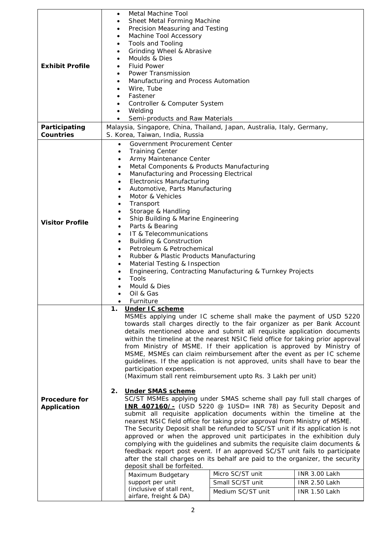|                        | Metal Machine Tool<br>٠                                                                                                                         |                   |                                |  |  |
|------------------------|-------------------------------------------------------------------------------------------------------------------------------------------------|-------------------|--------------------------------|--|--|
|                        | Sheet Metal Forming Machine                                                                                                                     |                   |                                |  |  |
|                        | Precision Measuring and Testing                                                                                                                 |                   |                                |  |  |
|                        | Machine Tool Accessory                                                                                                                          |                   |                                |  |  |
|                        | <b>Tools and Tooling</b><br>$\bullet$                                                                                                           |                   |                                |  |  |
|                        | Grinding Wheel & Abrasive<br>$\bullet$                                                                                                          |                   |                                |  |  |
| <b>Exhibit Profile</b> | Moulds & Dies                                                                                                                                   |                   |                                |  |  |
|                        | <b>Fluid Power</b><br>$\bullet$<br>Power Transmission<br>$\bullet$                                                                              |                   |                                |  |  |
|                        | Manufacturing and Process Automation<br>٠                                                                                                       |                   |                                |  |  |
|                        | Wire, Tube<br>٠                                                                                                                                 |                   |                                |  |  |
|                        | Fastener<br>٠                                                                                                                                   |                   |                                |  |  |
|                        | Controller & Computer System<br>٠                                                                                                               |                   |                                |  |  |
|                        | Welding<br>٠                                                                                                                                    |                   |                                |  |  |
|                        | Semi-products and Raw Materials<br>$\bullet$                                                                                                    |                   |                                |  |  |
| Participating          | Malaysia, Singapore, China, Thailand, Japan, Australia, Italy, Germany,                                                                         |                   |                                |  |  |
| <b>Countries</b>       | S. Korea, Taiwan, India, Russia                                                                                                                 |                   |                                |  |  |
|                        | Government Procurement Center<br>$\bullet$                                                                                                      |                   |                                |  |  |
|                        | <b>Training Center</b><br>$\bullet$                                                                                                             |                   |                                |  |  |
|                        | Army Maintenance Center<br>٠                                                                                                                    |                   |                                |  |  |
|                        | Metal Components & Products Manufacturing<br>٠                                                                                                  |                   |                                |  |  |
|                        | Manufacturing and Processing Electrical<br>٠<br><b>Electronics Manufacturing</b><br>$\bullet$                                                   |                   |                                |  |  |
|                        | Automotive, Parts Manufacturing<br>٠                                                                                                            |                   |                                |  |  |
|                        | Motor & Vehicles<br>٠                                                                                                                           |                   |                                |  |  |
|                        | Transport<br>٠                                                                                                                                  |                   |                                |  |  |
|                        | Storage & Handling<br>٠                                                                                                                         |                   |                                |  |  |
| <b>Visitor Profile</b> | Ship Building & Marine Engineering<br>٠                                                                                                         |                   |                                |  |  |
|                        | Parts & Bearing<br>$\bullet$                                                                                                                    |                   |                                |  |  |
|                        | IT & Telecommunications<br>$\bullet$                                                                                                            |                   |                                |  |  |
|                        | <b>Building &amp; Construction</b><br>٠                                                                                                         |                   |                                |  |  |
|                        | Petroleum & Petrochemical<br>$\bullet$                                                                                                          |                   |                                |  |  |
|                        | Rubber & Plastic Products Manufacturing<br>$\bullet$                                                                                            |                   |                                |  |  |
|                        | Material Testing & Inspection<br>٠                                                                                                              |                   |                                |  |  |
|                        | Engineering, Contracting Manufacturing & Turnkey Projects                                                                                       |                   |                                |  |  |
|                        | Tools<br>Mould & Dies                                                                                                                           |                   |                                |  |  |
|                        | Oil & Gas                                                                                                                                       |                   |                                |  |  |
|                        | Furniture                                                                                                                                       |                   |                                |  |  |
|                        | <b>Under IC scheme</b><br>1.                                                                                                                    |                   |                                |  |  |
|                        | MSMEs applying under IC scheme shall make the payment of USD 5220                                                                               |                   |                                |  |  |
|                        | towards stall charges directly to the fair organizer as per Bank Account                                                                        |                   |                                |  |  |
|                        | details mentioned above and submit all requisite application documents                                                                          |                   |                                |  |  |
|                        | within the timeline at the nearest NSIC field office for taking prior approval                                                                  |                   |                                |  |  |
|                        | from Ministry of MSME. If their application is approved by Ministry of<br>MSME, MSMEs can claim reimbursement after the event as per IC scheme  |                   |                                |  |  |
|                        | guidelines. If the application is not approved, units shall have to bear the                                                                    |                   |                                |  |  |
|                        | participation expenses.                                                                                                                         |                   |                                |  |  |
|                        | (Maximum stall rent reimbursement upto Rs. 3 Lakh per unit)                                                                                     |                   |                                |  |  |
|                        |                                                                                                                                                 |                   |                                |  |  |
|                        | 2.<br><b>Under SMAS scheme</b>                                                                                                                  |                   |                                |  |  |
| <b>Procedure for</b>   | SC/ST MSMEs applying under SMAS scheme shall pay full stall charges of<br><b>INR 407160/-</b> (USD 5220 @ 1USD= INR 78) as Security Deposit and |                   |                                |  |  |
| Application            | submit all requisite application documents within the timeline at the                                                                           |                   |                                |  |  |
|                        | nearest NSIC field office for taking prior approval from Ministry of MSME.                                                                      |                   |                                |  |  |
|                        | The Security Deposit shall be refunded to SC/ST unit if its application is not                                                                  |                   |                                |  |  |
|                        | approved or when the approved unit participates in the exhibition duly                                                                          |                   |                                |  |  |
|                        | complying with the guidelines and submits the requisite claim documents &                                                                       |                   |                                |  |  |
|                        | feedback report post event. If an approved SC/ST unit fails to participate                                                                      |                   |                                |  |  |
|                        | after the stall charges on its behalf are paid to the organizer, the security                                                                   |                   |                                |  |  |
|                        | deposit shall be forfeited.                                                                                                                     | Micro SC/ST unit  |                                |  |  |
|                        | Maximum Budgetary<br>support per unit                                                                                                           | Small SC/ST unit  | INR 3.00 Lakh<br>INR 2.50 Lakh |  |  |
|                        | (inclusive of stall rent,                                                                                                                       |                   |                                |  |  |
|                        | airfare, freight & DA)                                                                                                                          | Medium SC/ST unit | INR 1.50 Lakh                  |  |  |